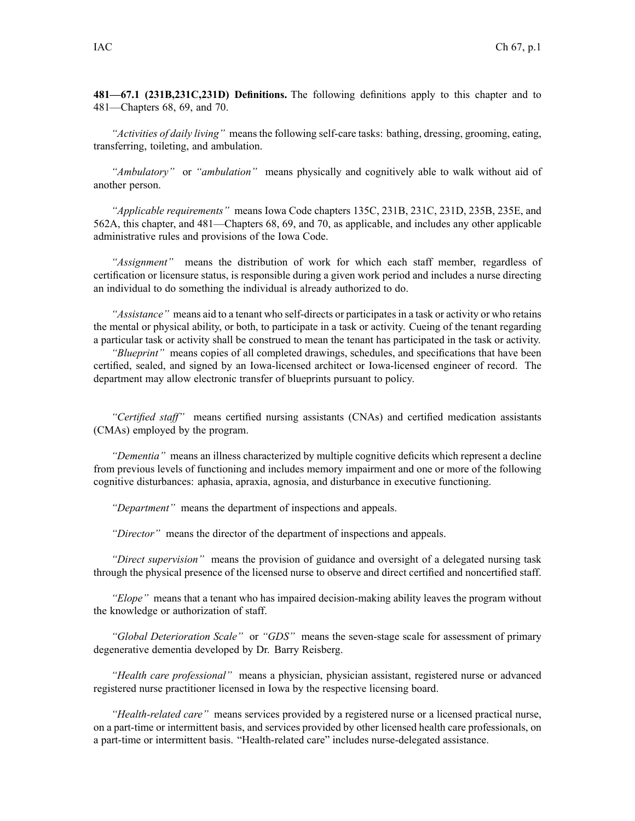**481—67.1 (231B,231C,231D) Definitions.** The following definitions apply to this chapter and to 481—Chapters 68, 69, and 70.

*"Activities of daily living"* means the following self-care tasks: bathing, dressing, grooming, eating, transferring, toileting, and ambulation.

*"Ambulatory"* or *"ambulation"* means physically and cognitively able to walk without aid of another person.

*"Applicable requirements"* means Iowa Code chapters [135C](https://www.legis.iowa.gov/docs/ico/chapter/135C.pdf), [231B](https://www.legis.iowa.gov/docs/ico/chapter/231B.pdf), [231C](https://www.legis.iowa.gov/docs/ico/chapter/231C.pdf), [231D](https://www.legis.iowa.gov/docs/ico/chapter/231D.pdf), [235B](https://www.legis.iowa.gov/docs/ico/chapter/235B.pdf), [235E](https://www.legis.iowa.gov/docs/ico/chapter/235E.pdf), and [562A](https://www.legis.iowa.gov/docs/ico/chapter/562A.pdf), this chapter, and 481—Chapters 68, 69, and 70, as applicable, and includes any other applicable administrative rules and provisions of the Iowa Code.

*"Assignment"* means the distribution of work for which each staff member, regardless of certification or licensure status, is responsible during <sup>a</sup> given work period and includes <sup>a</sup> nurse directing an individual to do something the individual is already authorized to do.

*"Assistance"* means aid to <sup>a</sup> tenant who self-directs or participatesin <sup>a</sup> task or activity or who retains the mental or physical ability, or both, to participate in <sup>a</sup> task or activity. Cueing of the tenant regarding <sup>a</sup> particular task or activity shall be construed to mean the tenant has participated in the task or activity.

*"Blueprint"* means copies of all completed drawings, schedules, and specifications that have been certified, sealed, and signed by an Iowa-licensed architect or Iowa-licensed engineer of record. The department may allow electronic transfer of blueprints pursuan<sup>t</sup> to policy.

*"Certified staff"* means certified nursing assistants (CNAs) and certified medication assistants (CMAs) employed by the program.

*"Dementia"* means an illness characterized by multiple cognitive deficits which represen<sup>t</sup> <sup>a</sup> decline from previous levels of functioning and includes memory impairment and one or more of the following cognitive disturbances: aphasia, apraxia, agnosia, and disturbance in executive functioning.

*"Department"* means the department of inspections and appeals.

*"Director"* means the director of the department of inspections and appeals.

*"Direct supervision"* means the provision of guidance and oversight of <sup>a</sup> delegated nursing task through the physical presence of the licensed nurse to observe and direct certified and noncertified staff.

*"Elope"* means that <sup>a</sup> tenant who has impaired decision-making ability leaves the program without the knowledge or authorization of staff.

*"Global Deterioration Scale"* or *"GDS"* means the seven-stage scale for assessment of primary degenerative dementia developed by Dr. Barry Reisberg.

*"Health care professional"* means <sup>a</sup> physician, physician assistant, registered nurse or advanced registered nurse practitioner licensed in Iowa by the respective licensing board.

*"Health-related care"* means services provided by a registered nurse or a licensed practical nurse, on <sup>a</sup> part-time or intermittent basis, and services provided by other licensed health care professionals, on <sup>a</sup> part-time or intermittent basis. "Health-related care" includes nurse-delegated assistance.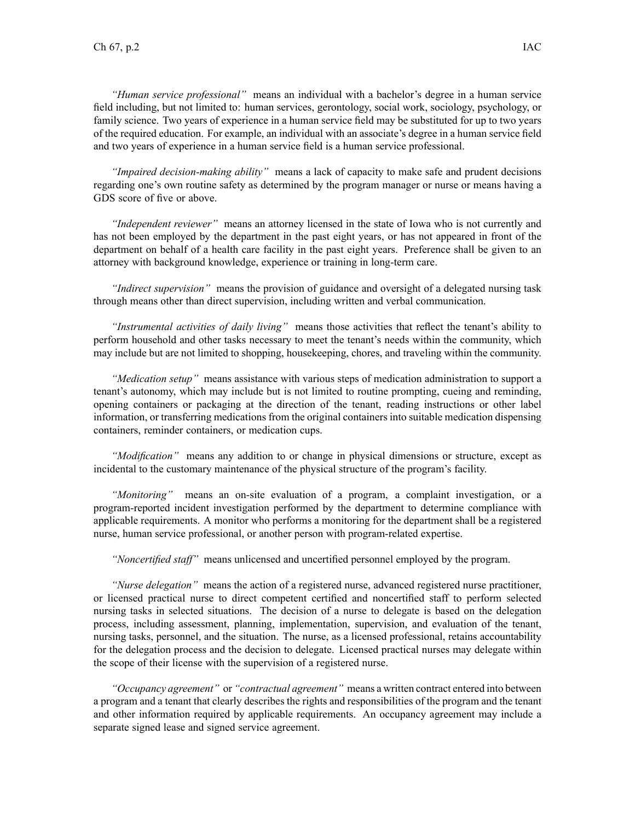*"Human service professional"* means an individual with <sup>a</sup> bachelor's degree in <sup>a</sup> human service field including, but not limited to: human services, gerontology, social work, sociology, psychology, or family science. Two years of experience in <sup>a</sup> human service field may be substituted for up to two years of the required education. For example, an individual with an associate's degree in <sup>a</sup> human service field and two years of experience in <sup>a</sup> human service field is <sup>a</sup> human service professional.

*"Impaired decision-making ability"* means <sup>a</sup> lack of capacity to make safe and prudent decisions regarding one's own routine safety as determined by the program manager or nurse or means having <sup>a</sup> GDS score of five or above.

*"Independent reviewer"* means an attorney licensed in the state of Iowa who is not currently and has not been employed by the department in the pas<sup>t</sup> eight years, or has not appeared in front of the department on behalf of <sup>a</sup> health care facility in the pas<sup>t</sup> eight years. Preference shall be given to an attorney with background knowledge, experience or training in long-term care.

*"Indirect supervision"* means the provision of guidance and oversight of <sup>a</sup> delegated nursing task through means other than direct supervision, including written and verbal communication.

*"Instrumental activities of daily living"* means those activities that reflect the tenant's ability to perform household and other tasks necessary to meet the tenant's needs within the community, which may include but are not limited to shopping, housekeeping, chores, and traveling within the community.

*"Medication setup"* means assistance with various steps of medication administration to suppor<sup>t</sup> <sup>a</sup> tenant's autonomy, which may include but is not limited to routine prompting, cueing and reminding, opening containers or packaging at the direction of the tenant, reading instructions or other label information, or transferring medications from the original containers into suitable medication dispensing containers, reminder containers, or medication cups.

*"Modification"* means any addition to or change in physical dimensions or structure, excep<sup>t</sup> as incidental to the customary maintenance of the physical structure of the program's facility.

*"Monitoring"* means an on-site evaluation of <sup>a</sup> program, <sup>a</sup> complaint investigation, or <sup>a</sup> program-reported incident investigation performed by the department to determine compliance with applicable requirements. A monitor who performs <sup>a</sup> monitoring for the department shall be <sup>a</sup> registered nurse, human service professional, or another person with program-related expertise.

*"Noncertified staff"* means unlicensed and uncertified personnel employed by the program.

*"Nurse delegation"* means the action of <sup>a</sup> registered nurse, advanced registered nurse practitioner, or licensed practical nurse to direct competent certified and noncertified staff to perform selected nursing tasks in selected situations. The decision of <sup>a</sup> nurse to delegate is based on the delegation process, including assessment, planning, implementation, supervision, and evaluation of the tenant, nursing tasks, personnel, and the situation. The nurse, as <sup>a</sup> licensed professional, retains accountability for the delegation process and the decision to delegate. Licensed practical nurses may delegate within the scope of their license with the supervision of <sup>a</sup> registered nurse.

*"Occupancy agreement"* or *"contractual agreement"* means <sup>a</sup> written contract entered into between <sup>a</sup> program and <sup>a</sup> tenant that clearly describes the rights and responsibilities of the program and the tenant and other information required by applicable requirements. An occupancy agreemen<sup>t</sup> may include <sup>a</sup> separate signed lease and signed service agreement.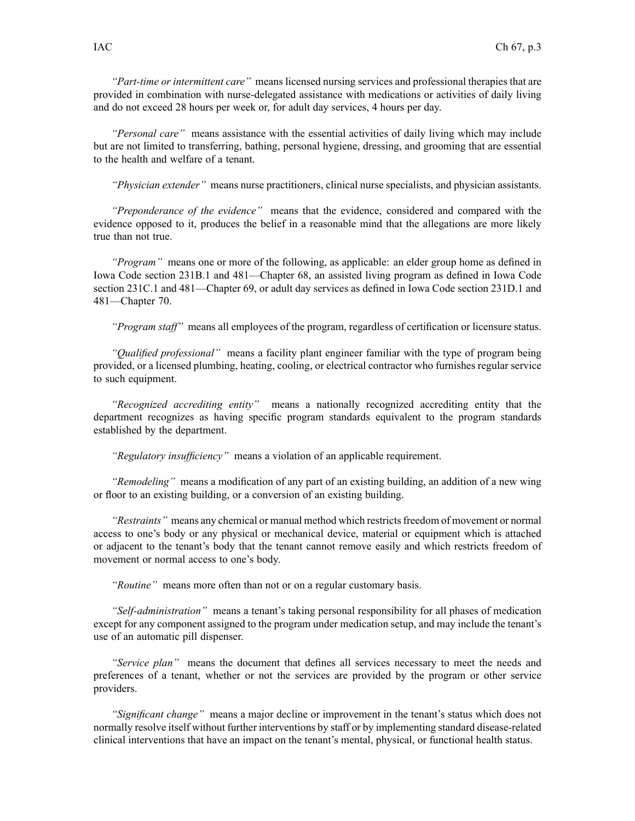*"Part-time or intermittent care"* means licensed nursing services and professional therapies that are provided in combination with nurse-delegated assistance with medications or activities of daily living and do not exceed 28 hours per week or, for adult day services, 4 hours per day.

*"Personal care"* means assistance with the essential activities of daily living which may include but are not limited to transferring, bathing, personal hygiene, dressing, and grooming that are essential to the health and welfare of <sup>a</sup> tenant.

*"Physician extender"* means nurse practitioners, clinical nurse specialists, and physician assistants.

*"Preponderance of the evidence"* means that the evidence, considered and compared with the evidence opposed to it, produces the belief in <sup>a</sup> reasonable mind that the allegations are more likely true than not true.

*"Program"* means one or more of the following, as applicable: an elder group home as defined in Iowa Code section [231B.1](https://www.legis.iowa.gov/docs/ico/section/231B.1.pdf) and 481—Chapter 68, an assisted living program as defined in Iowa Code section [231C.1](https://www.legis.iowa.gov/docs/ico/section/231C.1.pdf) and 481—Chapter 69, or adult day services as defined in Iowa Code section [231D.1](https://www.legis.iowa.gov/docs/ico/section/231D.1.pdf) and 481—Chapter 70.

*"Program staff"* means all employees of the program, regardless of certification or licensure status.

*"Qualified professional"* means <sup>a</sup> facility plant engineer familiar with the type of program being provided, or <sup>a</sup> licensed plumbing, heating, cooling, or electrical contractor who furnishes regular service to such equipment.

*"Recognized accrediting entity"* means <sup>a</sup> nationally recognized accrediting entity that the department recognizes as having specific program standards equivalent to the program standards established by the department.

*"Regulatory insufficiency"* means <sup>a</sup> violation of an applicable requirement.

*"Remodeling"* means <sup>a</sup> modification of any par<sup>t</sup> of an existing building, an addition of <sup>a</sup> new wing or floor to an existing building, or <sup>a</sup> conversion of an existing building.

*"Restraints"* means any chemical or manual method which restricts freedom of movement or normal access to one's body or any physical or mechanical device, material or equipment which is attached or adjacent to the tenant's body that the tenant cannot remove easily and which restricts freedom of movement or normal access to one's body.

*"Routine"* means more often than not or on <sup>a</sup> regular customary basis.

*"Self-administration"* means <sup>a</sup> tenant's taking personal responsibility for all phases of medication excep<sup>t</sup> for any componen<sup>t</sup> assigned to the program under medication setup, and may include the tenant's use of an automatic pill dispenser.

*"Service plan"* means the document that defines all services necessary to meet the needs and preferences of <sup>a</sup> tenant, whether or not the services are provided by the program or other service providers.

*"Significant change"* means <sup>a</sup> major decline or improvement in the tenant's status which does not normally resolve itself without further interventions by staff or by implementing standard disease-related clinical interventions that have an impact on the tenant's mental, physical, or functional health status.